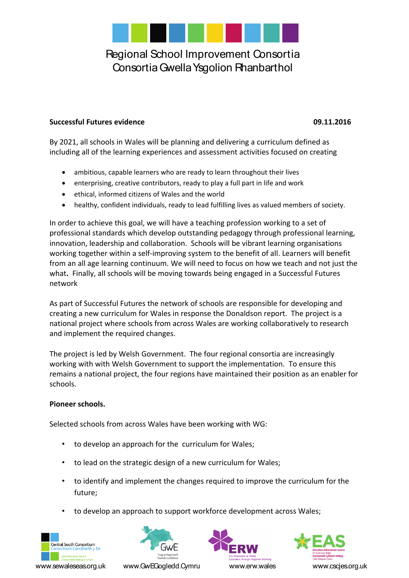

### **Successful Futures evidence 09.11.2016**

By 2021, all schools in Wales will be planning and delivering a curriculum defined as including all of the learning experiences and assessment activities focused on creating

- ambitious, capable learners who are ready to learn throughout their lives
- enterprising, creative contributors, ready to play a full part in life and work
- ethical, informed citizens of Wales and the world
- healthy, confident individuals, ready to lead fulfilling lives as valued members of society.

In order to achieve this goal, we will have a teaching profession working to a set of professional standards which develop outstanding pedagogy through professional learning, innovation, leadership and collaboration. Schools will be vibrant learning organisations working together within a self-improving system to the benefit of all. Learners will benefit from an all age learning continuum. We will need to focus on how we teach and not just the what**.** Finally, all schools will be moving towards being engaged in a Successful Futures network

As part of Successful Futures the network of schools are responsible for developing and creating a new curriculum for Wales in response the Donaldson report. The project is a national project where schools from across Wales are working collaboratively to research and implement the required changes.

The project is led by Welsh Government. The four regional consortia are increasingly working with with Welsh Government to support the implementation. To ensure this remains a national project, the four regions have maintained their position as an enabler for schools.

#### **Pioneer schools.**

Selected schools from across Wales have been working with WG:

- to develop an approach for the curriculum for Wales;
- to lead on the strategic design of a new curriculum for Wales;
- to identify and implement the changes required to improve the curriculum for the future;
- to develop an approach to support workforce development across Wales;







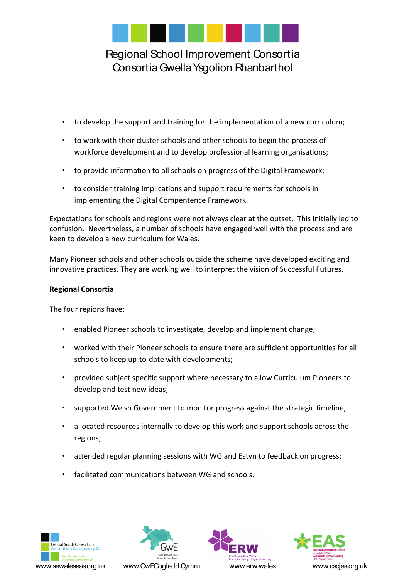

- to develop the support and training for the implementation of a new curriculum;
- to work with their cluster schools and other schools to begin the process of workforce development and to develop professional learning organisations;
- to provide information to all schools on progress of the Digital Framework;
- to consider training implications and support requirements for schools in implementing the Digital Compentence Framework.

Expectations for schools and regions were not always clear at the outset. This initially led to confusion. Nevertheless, a number of schools have engaged well with the process and are keen to develop a new curriculum for Wales.

Many Pioneer schools and other schools outside the scheme have developed exciting and innovative practices. They are working well to interpret the vision of Successful Futures.

# **Regional Consortia**

The four regions have:

- enabled Pioneer schools to investigate, develop and implement change;
- worked with their Pioneer schools to ensure there are sufficient opportunities for all schools to keep up-to-date with developments;
- provided subject specific support where necessary to allow Curriculum Pioneers to develop and test new ideas;
- supported Welsh Government to monitor progress against the strategic timeline;
- allocated resources internally to develop this work and support schools across the regions;
- attended regular planning sessions with WG and Estyn to feedback on progress;
- facilitated communications between WG and schools.







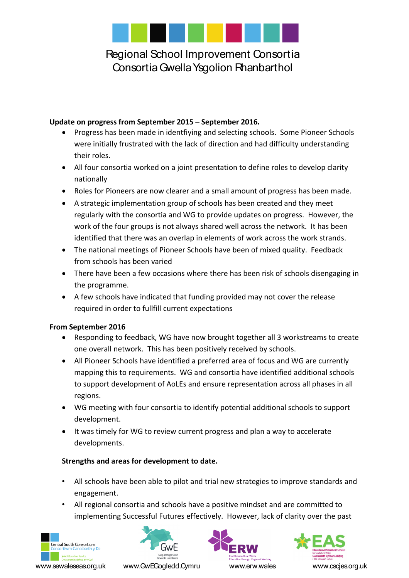

## **Update on progress from September 2015 – September 2016.**

- Progress has been made in identfiying and selecting schools. Some Pioneer Schools were initially frustrated with the lack of direction and had difficulty understanding their roles.
- All four consortia worked on a joint presentation to define roles to develop clarity nationally
- Roles for Pioneers are now clearer and a small amount of progress has been made.
- A strategic implementation group of schools has been created and they meet regularly with the consortia and WG to provide updates on progress. However, the work of the four groups is not always shared well across the network. It has been identified that there was an overlap in elements of work across the work strands.
- The national meetings of Pioneer Schools have been of mixed quality. Feedback from schools has been varied
- There have been a few occasions where there has been risk of schools disengaging in the programme.
- A few schools have indicated that funding provided may not cover the release required in order to fullfill current expectations

## **From September 2016**

- Responding to feedback, WG have now brought together all 3 workstreams to create one overall network. This has been positively received by schools.
- All Pioneer Schools have identified a preferred area of focus and WG are currently mapping this to requirements. WG and consortia have identified additional schools to support development of AoLEs and ensure representation across all phases in all regions.
- WG meeting with four consortia to identify potential additional schools to support development.
- It was timely for WG to review current progress and plan a way to accelerate developments.

## **Strengths and areas for development to date.**

- All schools have been able to pilot and trial new strategies to improve standards and engagement.
- All regional consortia and schools have a positive mindset and are committed to implementing Successful Futures effectively. However, lack of clarity over the past